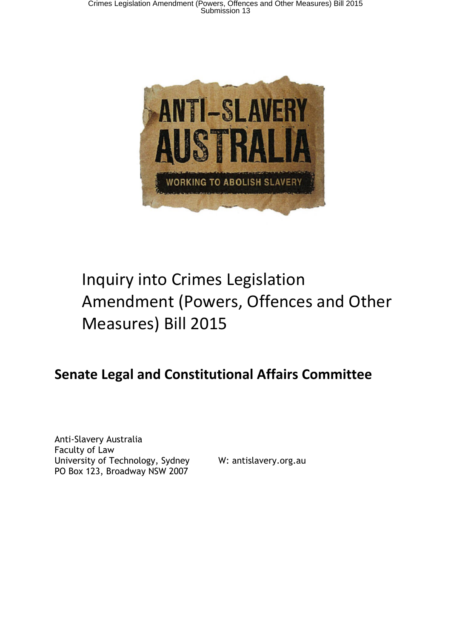

# Inquiry into Crimes Legislation Amendment (Powers, Offences and Other Measures) Bill 2015

# **Senate Legal and Constitutional Affairs Committee**

Anti-Slavery Australia Faculty of Law University of Technology, Sydney W: antislavery.org.au PO Box 123, Broadway NSW 2007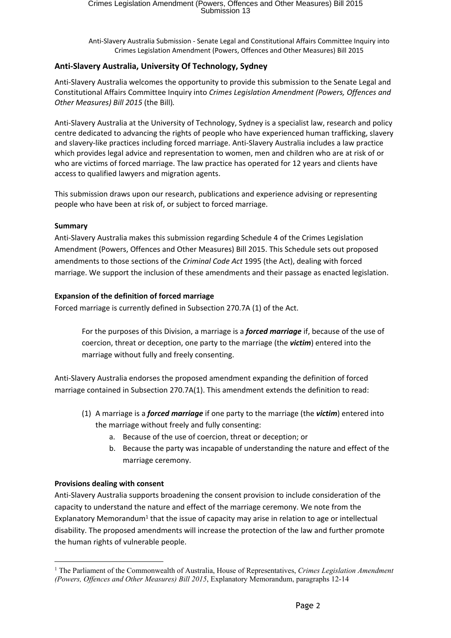# **Anti-Slavery Australia, University Of Technology, Sydney**

Anti-Slavery Australia welcomes the opportunity to provide this submission to the Senate Legal and Constitutional Affairs Committee Inquiry into *Crimes Legislation Amendment (Powers, Offences and Other Measures) Bill 2015* (the Bill)*.*

Anti-Slavery Australia at the University of Technology, Sydney is a specialist law, research and policy centre dedicated to advancing the rights of people who have experienced human trafficking, slavery and slavery-like practices including forced marriage. Anti-Slavery Australia includes a law practice which provides legal advice and representation to women, men and children who are at risk of or who are victims of forced marriage. The law practice has operated for 12 years and clients have access to qualified lawyers and migration agents.

This submission draws upon our research, publications and experience advising or representing people who have been at risk of, or subject to forced marriage.

# **Summary**

Anti-Slavery Australia makes this submission regarding Schedule 4 of the Crimes Legislation Amendment (Powers, Offences and Other Measures) Bill 2015. This Schedule sets out proposed amendments to those sections of the *Criminal Code Act* 1995 (the Act), dealing with forced marriage. We support the inclusion of these amendments and their passage as enacted legislation.

# **Expansion of the definition of forced marriage**

Forced marriage is currently defined in Subsection 270.7A (1) of the Act.

For the purposes of this Division, a marriage is a *forced marriage* if, because of the use of coercion, threat or deception, one party to the marriage (the *victim*) entered into the marriage without fully and freely consenting.

Anti-Slavery Australia endorses the proposed amendment expanding the definition of forced marriage contained in Subsection 270.7A(1). This amendment extends the definition to read:

- (1) A marriage is a *forced marriage* if one party to the marriage (the *victim*) entered into the marriage without freely and fully consenting:
	- a. Because of the use of coercion, threat or deception; or
	- b. Because the party was incapable of understanding the nature and effect of the marriage ceremony.

# **Provisions dealing with consent**

Anti-Slavery Australia supports broadening the consent provision to include consideration of the capacity to understand the nature and effect of the marriage ceremony. We note from the Explanatory Memorandum<sup>1</sup> that the issue of capacity may arise in relation to age or intellectual disability. The proposed amendments will increase the protection of the law and further promote the human rights of vulnerable people.

<sup>1</sup> The Parliament of the Commonwealth of Australia, House of Representatives, *Crimes Legislation Amendment (Powers, Offences and Other Measures) Bill 2015*, Explanatory Memorandum, paragraphs 12-14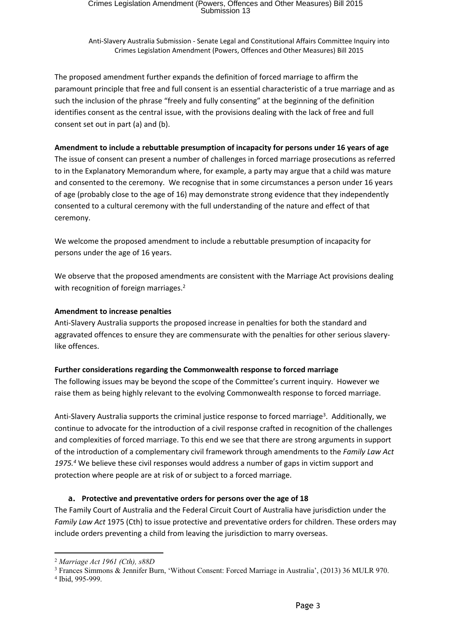The proposed amendment further expands the definition of forced marriage to affirm the paramount principle that free and full consent is an essential characteristic of a true marriage and as such the inclusion of the phrase "freely and fully consenting" at the beginning of the definition identifies consent as the central issue, with the provisions dealing with the lack of free and full consent set out in part (a) and (b).

# **Amendment to include a rebuttable presumption of incapacity for persons under 16 years of age**

The issue of consent can present a number of challenges in forced marriage prosecutions as referred to in the Explanatory Memorandum where, for example, a party may argue that a child was mature and consented to the ceremony. We recognise that in some circumstances a person under 16 years of age (probably close to the age of 16) may demonstrate strong evidence that they independently consented to a cultural ceremony with the full understanding of the nature and effect of that ceremony.

We welcome the proposed amendment to include a rebuttable presumption of incapacity for persons under the age of 16 years.

We observe that the proposed amendments are consistent with the Marriage Act provisions dealing with recognition of foreign marriages.<sup>2</sup>

#### **Amendment to increase penalties**

Anti-Slavery Australia supports the proposed increase in penalties for both the standard and aggravated offences to ensure they are commensurate with the penalties for other serious slaverylike offences.

#### **Further considerations regarding the Commonwealth response to forced marriage**

The following issues may be beyond the scope of the Committee's current inquiry. However we raise them as being highly relevant to the evolving Commonwealth response to forced marriage.

Anti-Slavery Australia supports the criminal justice response to forced marriage<sup>3</sup>. Additionally, we continue to advocate for the introduction of a civil response crafted in recognition of the challenges and complexities of forced marriage. To this end we see that there are strong arguments in support of the introduction of a complementary civil framework through amendments to the *Family Law Act 1975.<sup>4</sup>* We believe these civil responses would address a number of gaps in victim support and protection where people are at risk of or subject to a forced marriage.

#### **a. Protective and preventative orders for persons over the age of 18**

The Family Court of Australia and the Federal Circuit Court of Australia have jurisdiction under the *Family Law Act* 1975 (Cth) to issue protective and preventative orders for children. These orders may include orders preventing a child from leaving the jurisdiction to marry overseas.

<sup>2</sup> *Marriage Act 1961 (Cth), s88D*

<sup>3</sup> Frances Simmons & Jennifer Burn, 'Without Consent: Forced Marriage in Australia', (2013) 36 MULR 970.

<sup>4</sup> Ibid, 995-999.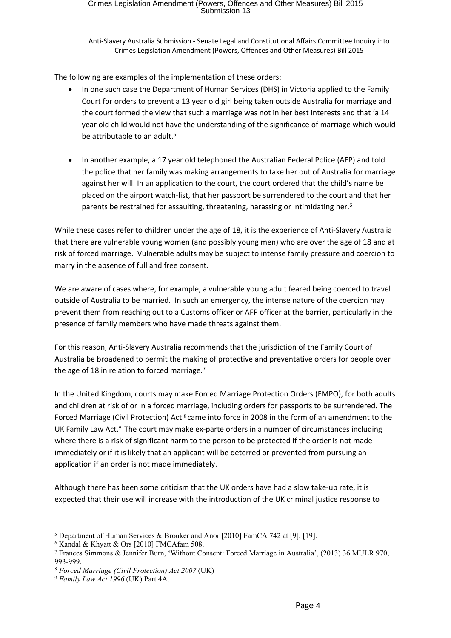The following are examples of the implementation of these orders:

- In one such case the Department of Human Services (DHS) in Victoria applied to the Family Court for orders to prevent a 13 year old girl being taken outside Australia for marriage and the court formed the view that such a marriage was not in her best interests and that 'a 14 year old child would not have the understanding of the significance of marriage which would be attributable to an adult.<sup>5</sup>
- In another example, a 17 year old telephoned the Australian Federal Police (AFP) and told the police that her family was making arrangements to take her out of Australia for marriage against her will. In an application to the court, the court ordered that the child's name be placed on the airport watch-list, that her passport be surrendered to the court and that her parents be restrained for assaulting, threatening, harassing or intimidating her.<sup>6</sup>

While these cases refer to children under the age of 18, it is the experience of Anti-Slavery Australia that there are vulnerable young women (and possibly young men) who are over the age of 18 and at risk of forced marriage. Vulnerable adults may be subject to intense family pressure and coercion to marry in the absence of full and free consent.

We are aware of cases where, for example, a vulnerable young adult feared being coerced to travel outside of Australia to be married. In such an emergency, the intense nature of the coercion may prevent them from reaching out to a Customs officer or AFP officer at the barrier, particularly in the presence of family members who have made threats against them.

For this reason, Anti-Slavery Australia recommends that the jurisdiction of the Family Court of Australia be broadened to permit the making of protective and preventative orders for people over the age of 18 in relation to forced marriage.<sup>7</sup>

In the United Kingdom, courts may make Forced Marriage Protection Orders (FMPO), for both adults and children at risk of or in a forced marriage, including orders for passports to be surrendered. The Forced Marriage (Civil Protection) Act <sup>8</sup> came into force in 2008 in the form of an amendment to the UK Family Law Act.<sup>9</sup> The court may make ex-parte orders in a number of circumstances including where there is a risk of significant harm to the person to be protected if the order is not made immediately or if it is likely that an applicant will be deterred or prevented from pursuing an application if an order is not made immediately.

Although there has been some criticism that the UK orders have had a slow take-up rate, it is expected that their use will increase with the introduction of the UK criminal justice response to

<sup>5</sup> Department of Human Services & Brouker and Anor [2010] FamCA 742 at [9], [19].

<sup>6</sup> Kandal & Khyatt & Ors [2010] FMCAfam 508.

<sup>7</sup> Frances Simmons & Jennifer Burn, 'Without Consent: Forced Marriage in Australia', (2013) 36 MULR 970, 993-999.

<sup>8</sup> *Forced Marriage (Civil Protection) Act 2007* (UK)

<sup>9</sup> *Family Law Act 1996* (UK) Part 4A.